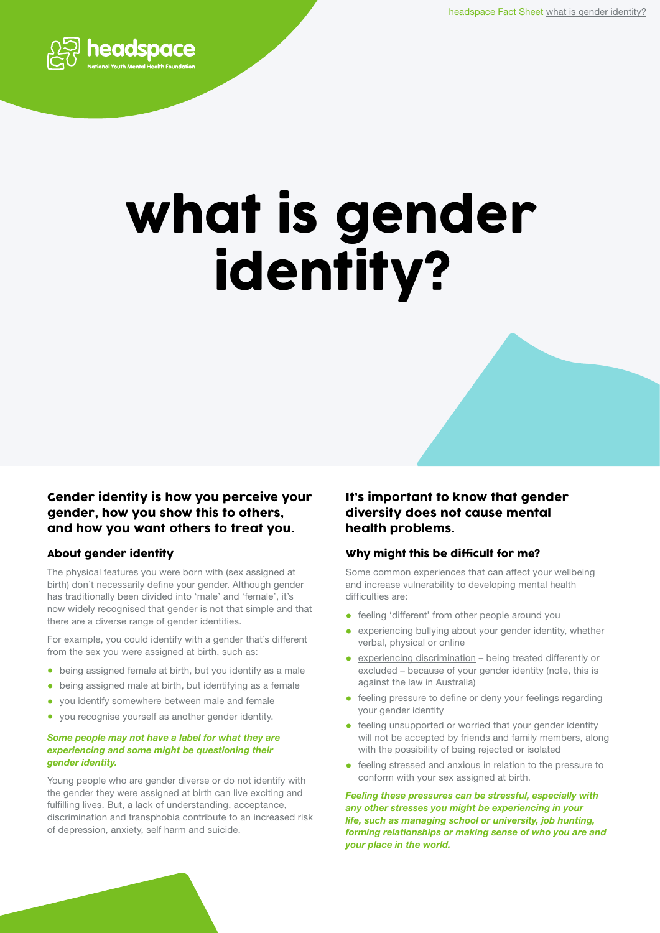

# what is gender identity?

Gender identity is how you perceive your gender, how you show this to others, and how you want others to treat you.

## About gender identity

The physical features you were born with (sex assigned at birth) don't necessarily define your gender. Although gender has traditionally been divided into 'male' and 'female', it's now widely recognised that gender is not that simple and that there are a diverse range of gender identities.

For example, you could identify with a gender that's different from the sex you were assigned at birth, such as:

- being assigned female at birth, but you identify as a male
- being assigned male at birth, but identifying as a female
- you identify somewhere between male and female
- you recognise yourself as another gender identity.

#### *Some people may not have a label for what they are experiencing and some might be questioning their gender identity.*

Young people who are gender diverse or do not identify with the gender they were assigned at birth can live exciting and fulfilling lives. But, a lack of understanding, acceptance, discrimination and transphobia contribute to an increased risk of depression, anxiety, self harm and suicide.

# It's important to know that gender diversity does not cause mental health problems.

## Why might this be difficult for me?

Some common experiences that can affect your wellbeing and increase vulnerability to developing mental health difficulties are:

- feeling 'different' from other people around you
- experiencing bullying about your gender identity, whether verbal, physical or online
- [experiencing discrimination](https://humanrights.gov.au/our-work/lgbti/about-sexual-orientation-gender-identity-and-intersex-status-discrimination) being treated differently or excluded – because of your gender identity (note, this is [against the law in Australia\)](https://humanrights.gov.au/our-work/lgbti/about-sexual-orientation-gender-identity-and-intersex-status-discrimination)
- feeling pressure to define or deny your feelings regarding your gender identity
- feeling unsupported or worried that your gender identity will not be accepted by friends and family members, along with the possibility of being rejected or isolated
- feeling stressed and anxious in relation to the pressure to conform with your sex assigned at birth.

*Feeling these pressures can be stressful, especially with any other stresses you might be experiencing in your life, such as managing school or university, job hunting, forming relationships or making sense of who you are and your place in the world.*